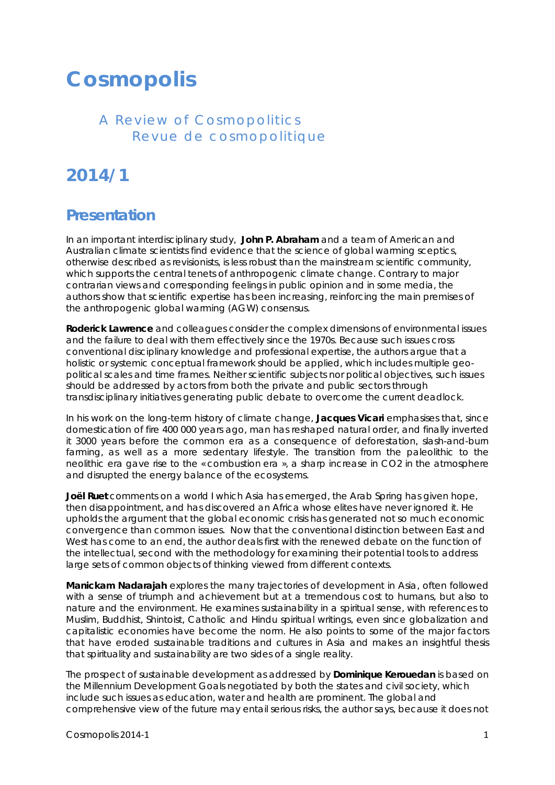## **Cosmopolis**

## *A Review of Cosmopolitics Revue de cosmopolitique*

## **2014/1**

## **Presentation**

In an important interdisciplinary study, **John P. Abraham** and a team of American and Australian climate scientists find evidence that the science of global warming sceptics, otherwise described as revisionists, is less robust than the mainstream scientific community, which supports the central tenets of anthropogenic climate change. Contrary to major contrarian views and corresponding feelings in public opinion and in some media, the authors show that scientific expertise has been increasing, reinforcing the main premises of the anthropogenic global warming (AGW) consensus.

**Roderick Lawrence** and colleagues consider the complex dimensions of environmental issues and the failure to deal with them effectively since the 1970s. Because such issues cross conventional disciplinary knowledge and professional expertise, the authors argue that a holistic or systemic conceptual framework should be applied, which includes multiple geopolitical scales and time frames. Neither scientific subjects nor political objectives, such issues should be addressed by actors from both the private and public sectors through transdisciplinary initiatives generating public debate to overcome the current deadlock.

In his work on the long-term history of climate change, **Jacques Vicari** emphasises that, since domestication of fire 400 000 years ago, man has reshaped natural order, and finally inverted it 3000 years before the common era as a consequence of deforestation, slash-and-burn farming, as well as a more sedentary lifestyle. The transition from the paleolithic to the neolithic era gave rise to the « combustion era », a sharp increase in CO2 in the atmosphere and disrupted the energy balance of the ecosystems.

**Joël Ruet** comments on a world I which Asia has emerged, the Arab Spring has given hope, then disappointment, and has discovered an Africa whose elites have never ignored it. He upholds the argument that the global economic crisis has generated not so much economic convergence than common issues. Now that the conventional distinction between East and West has come to an end, the author deals first with the renewed debate on the function of the intellectual, second with the methodology for examining their potential tools to address large sets of common objects of thinking viewed from different contexts.

**Manickam Nadarajah** explores the many trajectories of development in Asia, often followed with a sense of triumph and achievement but at a tremendous cost to humans, but also to nature and the environment. He examines sustainability in a spiritual sense, with references to Muslim, Buddhist, Shintoist, Catholic and Hindu spiritual writings, even since globalization and capitalistic economies have become the norm. He also points to some of the major factors that have eroded sustainable traditions and cultures in Asia and makes an insightful thesis that spirituality and sustainability are two sides of a single reality.

The prospect of sustainable development as addressed by **Dominique Kerouedan** is based on the Millennium Development Goals negotiated by both the states and civil society, which include such issues as education, water and health are prominent. The global and comprehensive view of the future may entail serious risks, the author says, because it does not